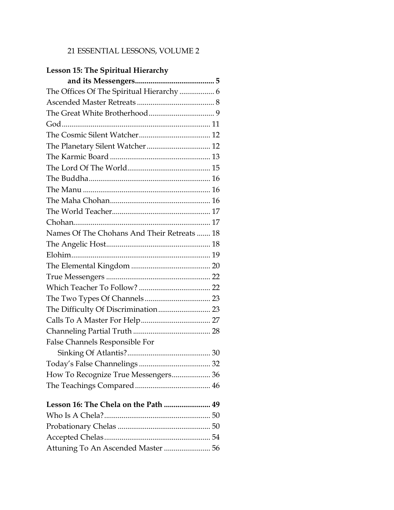### 21 ESSENTIAL LESSONS, VOLUME 2

### **Lesson 15: The Spiritual Hierarchy**

| The Offices Of The Spiritual Hierarchy  6   |  |
|---------------------------------------------|--|
|                                             |  |
|                                             |  |
|                                             |  |
|                                             |  |
|                                             |  |
|                                             |  |
|                                             |  |
|                                             |  |
|                                             |  |
|                                             |  |
|                                             |  |
|                                             |  |
| Names Of The Chohans And Their Retreats  18 |  |
|                                             |  |
|                                             |  |
|                                             |  |
|                                             |  |
|                                             |  |
|                                             |  |
|                                             |  |
|                                             |  |
|                                             |  |
| False Channels Responsible For              |  |
|                                             |  |
|                                             |  |
| How To Recognize True Messengers 36         |  |
|                                             |  |
| Lesson 16: The Chela on the Path  49        |  |
|                                             |  |
|                                             |  |
|                                             |  |
| Attuning To An Ascended Master  56          |  |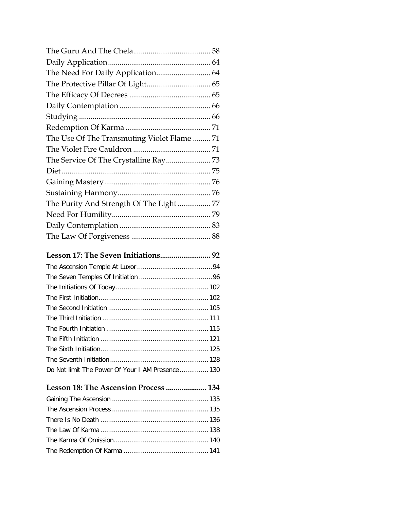| The Use Of The Transmuting Violet Flame  71 |  |
|---------------------------------------------|--|
|                                             |  |
|                                             |  |
|                                             |  |
|                                             |  |
|                                             |  |
|                                             |  |
|                                             |  |
|                                             |  |
|                                             |  |

## **Lesson 17: The Seven Initiations.......................... 92**

| Do Not limit The Power Of Your I AM Presence 130 |  |
|--------------------------------------------------|--|

# **Lesson 18: The Ascension Process ..................... 134**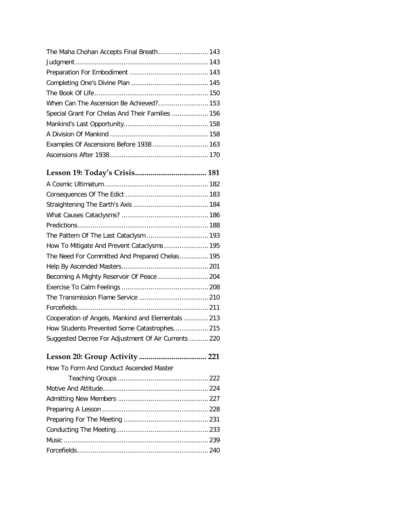| The Maha Chohan Accepts Final Breath 143         |  |
|--------------------------------------------------|--|
|                                                  |  |
|                                                  |  |
|                                                  |  |
|                                                  |  |
| When Can The Ascension Be Achieved? 153          |  |
| Special Grant For Chelas And Their Families  156 |  |
|                                                  |  |
|                                                  |  |
| Examples Of Ascensions Before 1938  163          |  |
|                                                  |  |

# **Lesson 19: Today's Crisis..................................... 181**

| How To Mitigate And Prevent Cataclysms  195          |  |
|------------------------------------------------------|--|
| The Need For Committed And Prepared Chelas 195       |  |
|                                                      |  |
| Becoming A Mighty Reservoir Of Peace  204            |  |
|                                                      |  |
|                                                      |  |
|                                                      |  |
| Cooperation of Angels, Mankind and Elementals 213    |  |
|                                                      |  |
| Suggested Decree For Adjustment Of Air Currents  220 |  |

### **Lesson 20: Group Activity ................................... 221**

How To Form And Conduct Ascended Master